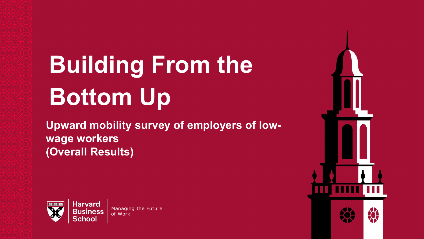# **Building From the Bottom Up**

**Upward mobility survey of employers of lowwage workers (Overall Results)**



Managing the Future of Work

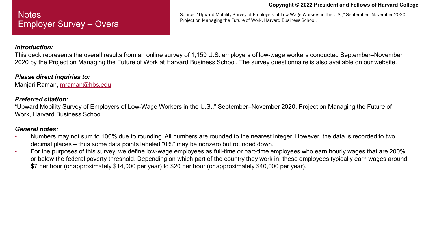# **Notes** Employer Survey – Overall

Source: "Upward Mobility Survey of Employers of Low-Wage Workers in the U.S.," September–November 2020, Project on Managing the Future of Work, Harvard Business School.

#### *Introduction:*

This deck represents the overall results from an online survey of 1,150 U.S. employers of low-wage workers conducted September–November 2020 by the Project on Managing the Future of Work at Harvard Business School. The survey questionnaire is also available on our website.

#### *Please direct inquiries to:*

Manjari Raman, [mraman@hbs.edu](mailto:mraman@hbs.edu)

#### *Preferred citation:*

"Upward Mobility Survey of Employers of Low-Wage Workers in the U.S.," September–November 2020, Project on Managing the Future of Work, Harvard Business School.

#### *General notes:*

- Numbers may not sum to 100% due to rounding. All numbers are rounded to the nearest integer. However, the data is recorded to two decimal places – thus some data points labeled "0%" may be nonzero but rounded down.
- For the purposes of this survey, we define low-wage employees as full-time or part-time employees who earn hourly wages that are 200% or below the federal poverty threshold. Depending on which part of the country they work in, these employees typically earn wages around \$7 per hour (or approximately \$14,000 per year) to \$20 per hour (or approximately \$40,000 per year).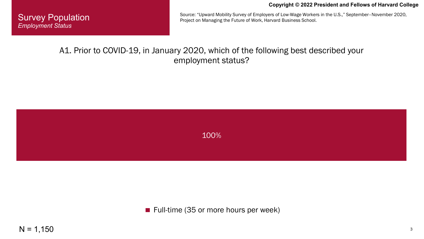

Source: "Upward Mobility Survey of Employers of Low-Wage Workers in the U.S.," September–November 2020, Project on Managing the Future of Work, Harvard Business School.

# A1. Prior to COVID-19, in January 2020, which of the following best described your employment status?



■ Full-time (35 or more hours per week)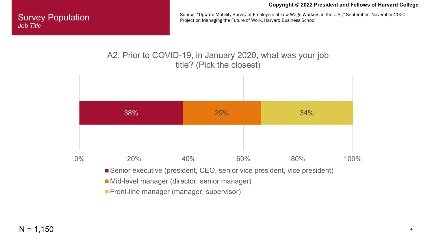

Source: "Upward Mobility Survey of Employers of Low-Wage Workers in the U.S.," September–November 2020, Project on Managing the Future of Work, Harvard Business School.

# A2. Prior to COVID-19, in January 2020, what was your job title? (Pick the closest)

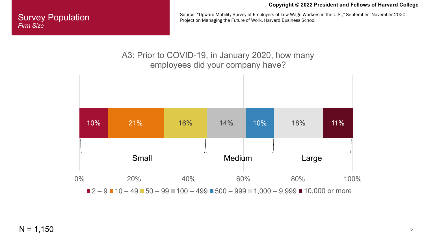

Source: "Upward Mobility Survey of Employers of Low-Wage Workers in the U.S.," September–November 2020, Project on Managing the Future of Work, Harvard Business School.

# A3: Prior to COVID-19, in January 2020, how many employees did your company have?

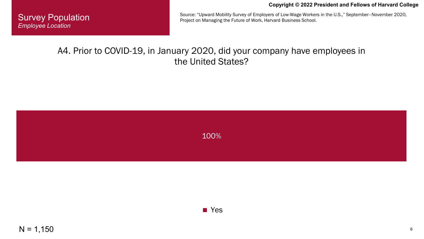

Source: "Upward Mobility Survey of Employers of Low-Wage Workers in the U.S.," September–November 2020, Project on Managing the Future of Work, Harvard Business School.

# A4. Prior to COVID-19, in January 2020, did your company have employees in the United States?

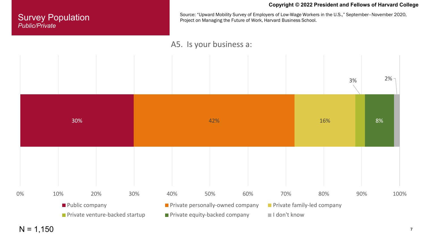Source: "Upward Mobility Survey of Employers of Low-Wage Workers in the U.S.," September–November 2020, Project on Managing the Future of Work, Harvard Business School.

# A5. Is your business a:



 $N = 1,150$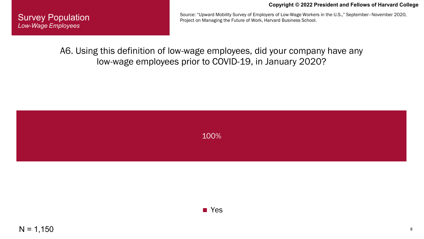

Source: "Upward Mobility Survey of Employers of Low-Wage Workers in the U.S.," September–November 2020, Project on Managing the Future of Work, Harvard Business School.

A6. Using this definition of low-wage employees, did your company have any low-wage employees prior to COVID-19, in January 2020?

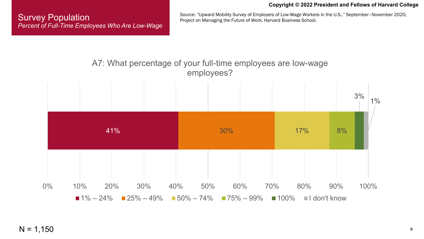Source: "Upward Mobility Survey of Employers of Low-Wage Workers in the U.S.," September–November 2020, Project on Managing the Future of Work, Harvard Business School.

# A7: What percentage of your full-time employees are low-wage employees?

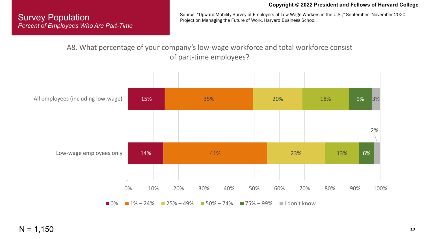Source: "Upward Mobility Survey of Employers of Low-Wage Workers in the U.S.," September–November 2020, Project on Managing the Future of Work, Harvard Business School.

# A8. What percentage of your company's low-wage workforce and total workforce consist of part-time employees?

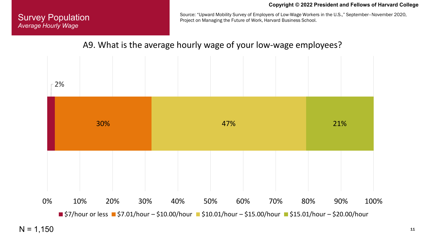Source: "Upward Mobility Survey of Employers of Low-Wage Workers in the U.S.," September–November 2020, Project on Managing the Future of Work, Harvard Business School.

A9. What is the average hourly wage of your low-wage employees?

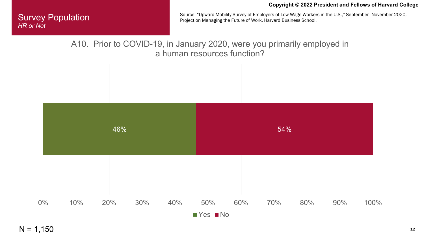Source: "Upward Mobility Survey of Employers of Low-Wage Workers in the U.S.," September–November 2020, Project on Managing the Future of Work, Harvard Business School.

A10. Prior to COVID-19, in January 2020, were you primarily employed in a human resources function?

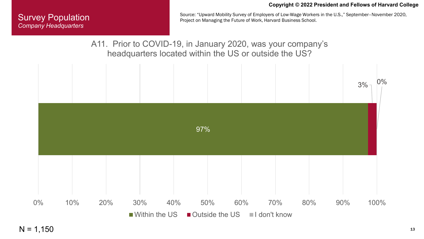Source: "Upward Mobility Survey of Employers of Low-Wage Workers in the U.S.," September–November 2020, Project on Managing the Future of Work, Harvard Business School.

A11. Prior to COVID-19, in January 2020, was your company's headquarters located within the US or outside the US?



 $N = 1,150$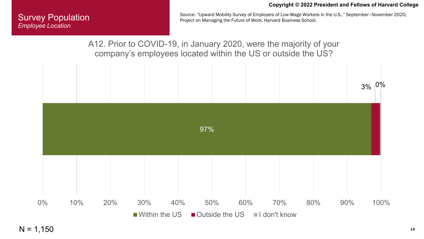Source: "Upward Mobility Survey of Employers of Low-Wage Workers in the U.S.," September–November 2020, Project on Managing the Future of Work, Harvard Business School.

A12. Prior to COVID-19, in January 2020, were the majority of your company's employees located within the US or outside the US?

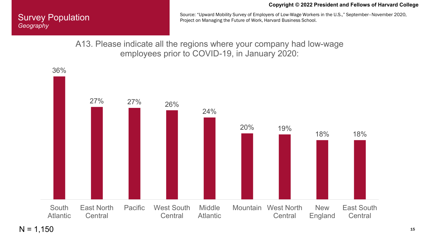### Survey Population *Geography*

Source: "Upward Mobility Survey of Employers of Low-Wage Workers in the U.S.," September–November 2020, Project on Managing the Future of Work, Harvard Business School.

A13. Please indicate all the regions where your company had low-wage employees prior to COVID-19, in January 2020:

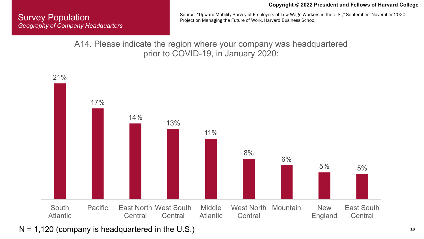Survey Population *Geography of Company Headquarters* Source: "Upward Mobility Survey of Employers of Low-Wage Workers in the U.S.," September–November 2020, Project on Managing the Future of Work, Harvard Business School.

A14. Please indicate the region where your company was headquartered prior to COVID-19, in January 2020:



 $N = 1,120$  (company is headquartered in the U.S.)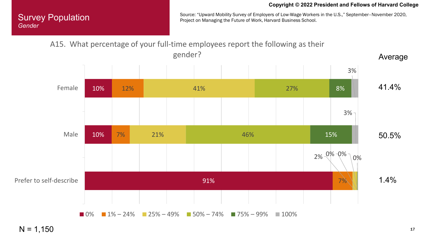### Survey Population *Gender*

Source: "Upward Mobility Survey of Employers of Low-Wage Workers in the U.S.," September–November 2020, Project on Managing the Future of Work, Harvard Business School.

# A15. What percentage of your full-time employees report the following as their



 $N = 1,150$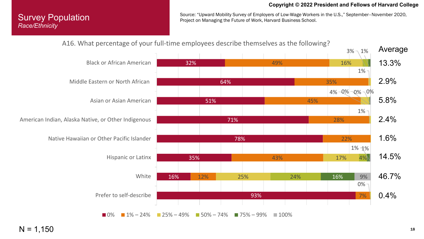### Survey Population *Race/Ethnicity*

Source: "Upward Mobility Survey of Employers of Low-Wage Workers in the U.S.," September–November 2020, Project on Managing the Future of Work, Harvard Business School.

### A16. What percentage of your full-time employees describe themselves as the following?

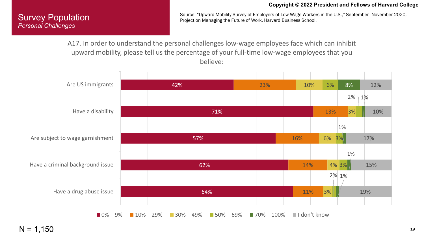### **Survey Population** *Personal Challenges*

Source: "Upward Mobility Survey of Employers of Low-Wage Workers in the U.S.," September–November 2020, Project on Managing the Future of Work, Harvard Business School.

A17. In order to understand the personal challenges low-wage employees face which can inhibit upward mobility, please tell us the percentage of your full-time low-wage employees that you believe:

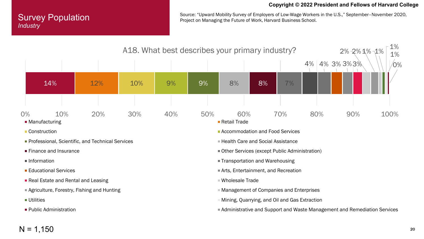# Survey Population *Industry*

Source: "Upward Mobility Survey of Employers of Low-Wage Workers in the U.S.," September–November 2020, Project on Managing the Future of Work, Harvard Business School.

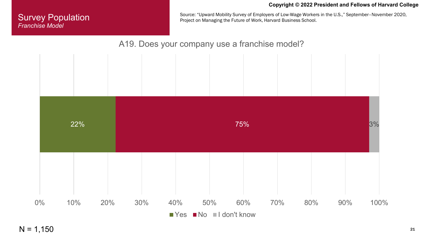Source: "Upward Mobility Survey of Employers of Low-Wage Workers in the U.S.," September–November 2020, Project on Managing the Future of Work, Harvard Business School.

# A19. Does your company use a franchise model?



 $N = 1,150$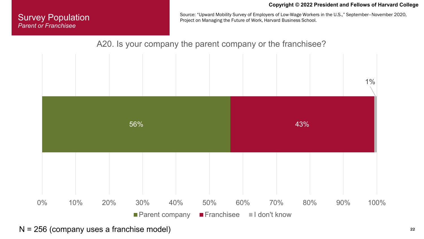Source: "Upward Mobility Survey of Employers of Low-Wage Workers in the U.S.," September–November 2020, Project on Managing the Future of Work, Harvard Business School.

A20. Is your company the parent company or the franchisee?



N = 256 (company uses a franchise model)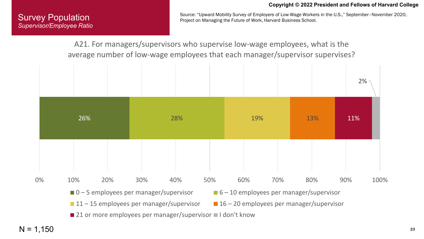Source: "Upward Mobility Survey of Employers of Low-Wage Workers in the U.S.," September–November 2020, Project on Managing the Future of Work, Harvard Business School.

A21. For managers/supervisors who supervise low-wage employees, what is the average number of low-wage employees that each manager/supervisor supervises?

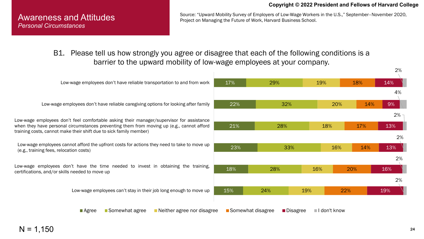19%

20%

18%

17%

14%

20%

22%

14%

14%

2%

4%

2%

2%

2%

2%

9%

13%

13%

16%

19%

16%

18%

Source: "Upward Mobility Survey of Employers of Low-Wage Workers in the U.S.," September–November 2020, Project on Managing the Future of Work, Harvard Business School.

B1. Please tell us how strongly you agree or disagree that each of the following conditions is a barrier to the upward mobility of low-wage employees at your company.

**Agree** Somewhat agree Neither agree nor disagree Somewhat disagree I Disagree I don't know



 $N = 1,150$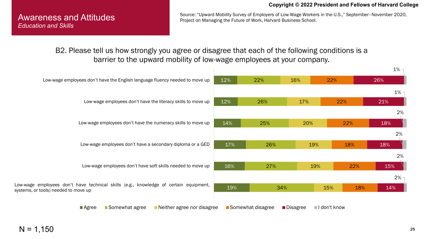Source: "Upward Mobility Survey of Employers of Low-Wage Workers in the U.S.," September–November 2020, Project on Managing the Future of Work, Harvard Business School.

B2. Please tell us how strongly you agree or disagree that each of the following conditions is a barrier to the upward mobility of low-wage employees at your company.

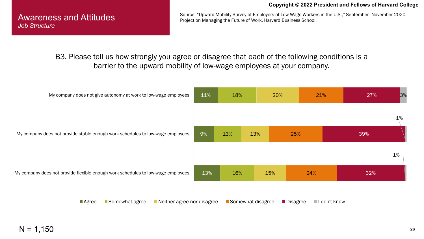Source: "Upward Mobility Survey of Employers of Low-Wage Workers in the U.S.," September–November 2020, Project on Managing the Future of Work, Harvard Business School.

B3. Please tell us how strongly you agree or disagree that each of the following conditions is a barrier to the upward mobility of low-wage employees at your company.

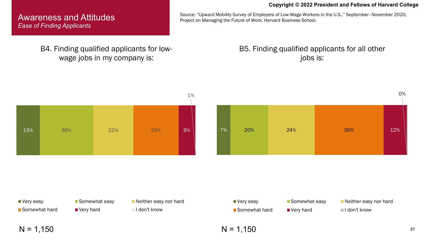Awareness and Attitudes *Ease of Finding Applicants*

> B4. Finding qualified applicants for lowwage jobs in my company is:

# B5. Finding qualified applicants for all other jobs is:

Source: "Upward Mobility Survey of Employers of Low-Wage Workers in the U.S.," September–November 2020,

Project on Managing the Future of Work, Harvard Business School.







 $N = 1,150$   $N = 1,150$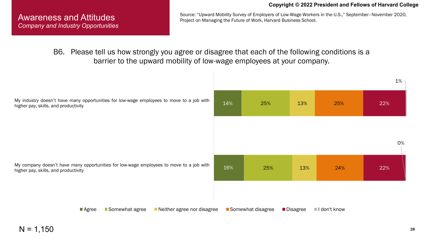Source: "Upward Mobility Survey of Employers of Low-Wage Workers in the U.S.," September–November 2020, Project on Managing the Future of Work, Harvard Business School.

B6. Please tell us how strongly you agree or disagree that each of the following conditions is a barrier to the upward mobility of low-wage employees at your company.



My industry doesn't have many opportunities for low-wage employees to move to a job with higher pay, skills, and productivity

My company doesn't have many opportunities for low-wage employees to move to a job with higher pay, skills, and productivity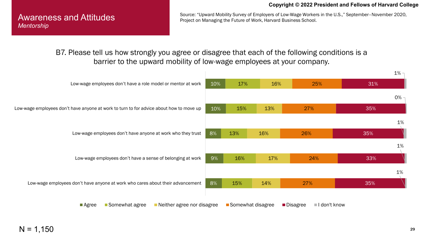### Awareness and Attitudes *Mentorship*

Source: "Upward Mobility Survey of Employers of Low-Wage Workers in the U.S.," September–November 2020, Project on Managing the Future of Work, Harvard Business School.

B7. Please tell us how strongly you agree or disagree that each of the following conditions is a barrier to the upward mobility of low-wage employees at your company.

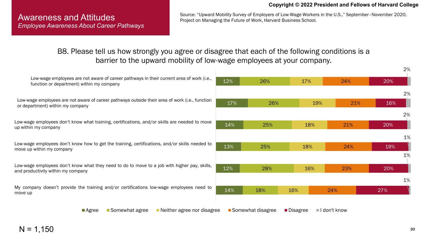Source: "Upward Mobility Survey of Employers of Low-Wage Workers in the U.S.," September–November 2020, Project on Managing the Future of Work, Harvard Business School.

# B8. Please tell us how strongly you agree or disagree that each of the following conditions is a barrier to the upward mobility of low-wage employees at your company.

**Agree** Somewhat agree Neither agree nor disagree Somewhat disagree Disagree I don't know

12% 17% 14% 13% Low-wage employees are not aware of career pathways in their current area of work (i.e., function or department) within my company Low-wage employees are not aware of career pathways outside their area of work (i.e., function or department) within my company Low-wage employees don't know what training, certifications, and/or skills are needed to move up within my company Low-wage employees don't know how to get the training, certifications, and/or skills needed to move up within my company

Low-wage employees don't know what they need to do to move to a job with higher pay, skills, and productivity within my company

My company doesn't provide the training and/or certifications low-wage employees need to move up

| 12% | 26% | 17% |     | 24% |     |    |
|-----|-----|-----|-----|-----|-----|----|
|     |     |     |     |     |     | 2% |
| 17% | 26% |     | 19% | 21% | 16% |    |
|     |     |     |     |     |     | 2% |
| 14% | 25% |     | 18% | 21% | 20% |    |
|     |     |     |     |     |     | 1% |
| 13% | 25% | 18% |     | 24% | 19% |    |
|     |     |     |     |     |     | 1% |
| 12% | 28% |     | 16% | 23% | 20% |    |
|     |     |     |     |     |     | 1% |
| 14% | 18% | 16% | 24% |     | 27% |    |
|     |     |     |     |     |     |    |

 $N = 1,150$ 

2%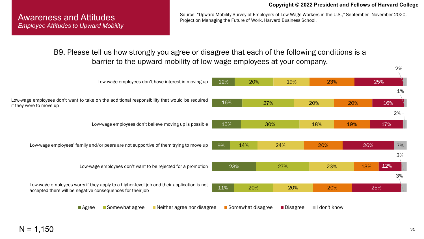Source: "Upward Mobility Survey of Employers of Low-Wage Workers in the U.S.," September–November 2020, Project on Managing the Future of Work, Harvard Business School.

B9. Please tell us how strongly you agree or disagree that each of the following conditions is a barrier to the upward mobility of low-wage employees at your company.



 $N = 1,150$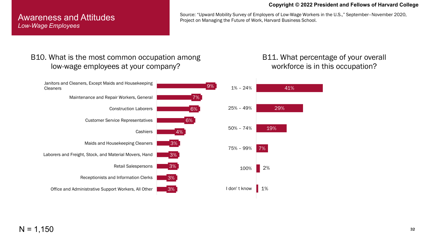# **Awareness and Attitudes** *Low-Wage Employees*

Source: "Upward Mobility Survey of Employers of Low-Wage Workers in the U.S.," September–November 2020, Project on Managing the Future of Work, Harvard Business School.

# B10. What is the most common occupation among low-wage employees at your company?



# B11. What percentage of your overall workforce is in this occupation?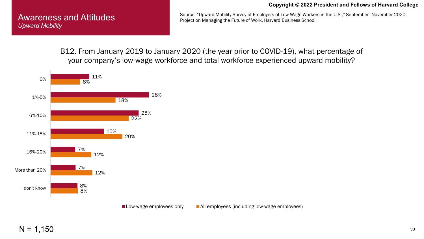Source: "Upward Mobility Survey of Employers of Low-Wage Workers in the U.S.," September–November 2020, Project on Managing the Future of Work, Harvard Business School.

B12. From January 2019 to January 2020 (the year prior to COVID-19), what percentage of your company's low-wage workforce and total workforce experienced upward mobility?



■ Low-wage employees only ■ All employees (including low-wage employees)

 $N = 1,150$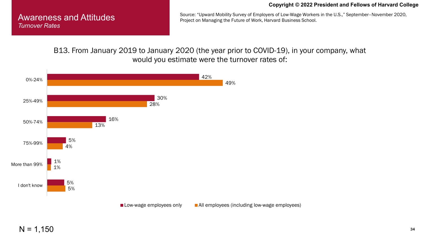Source: "Upward Mobility Survey of Employers of Low-Wage Workers in the U.S.," September–November 2020, Project on Managing the Future of Work, Harvard Business School.

B13. From January 2019 to January 2020 (the year prior to COVID-19), in your company, what would you estimate were the turnover rates of:



■ Low-wage employees only ■ All employees (including low-wage employees)

 $N = 1,150$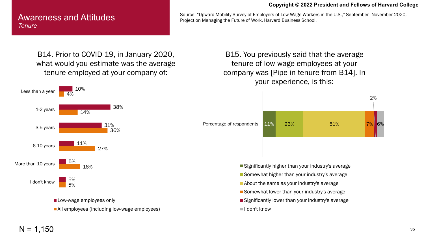Awareness and Attitudes *Tenure*

Source: "Upward Mobility Survey of Employers of Low-Wage Workers in the U.S.," September–November 2020, Project on Managing the Future of Work, Harvard Business School.

B14. Prior to COVID-19, in January 2020, what would you estimate was the average tenure employed at your company of:



<sup>■</sup> All employees (including low-wage employees)

B15. You previously said that the average tenure of low-wage employees at your company was [Pipe in tenure from B14]. In your experience, is this:



- Significantly higher than your industry's average
- Somewhat higher than your industry's average
- About the same as your industry's average
- Somewhat lower than your industry's average
- Significantly lower than your industry's average
- I don't know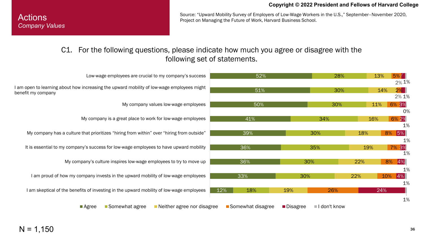

Source: "Upward Mobility Survey of Employers of Low-Wage Workers in the U.S.," September–November 2020, Project on Managing the Future of Work, Harvard Business School.

# C1. For the following questions, please indicate how much you agree or disagree with the following set of statements.



I am open to learning about how increasing the upward mobility of low-wage employees might benefit my company

My company values low-wage employees

My company is a great place to work for low-wage employees

My company has a culture that prioritizes "hiring from within" over "hiring from outside"

It is essential to my company's success for low-wage employees to have upward mobility

My company's culture inspires low-wage employees to try to move up

I am proud of how my company invests in the upward mobility of low-wage employees

I am skeptical of the benefits of investing in the upward mobility of low-wage employees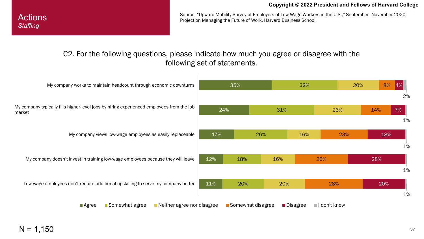

Source: "Upward Mobility Survey of Employers of Low-Wage Workers in the U.S.," September–November 2020, Project on Managing the Future of Work, Harvard Business School.

# C2. For the following questions, please indicate how much you agree or disagree with the following set of statements.

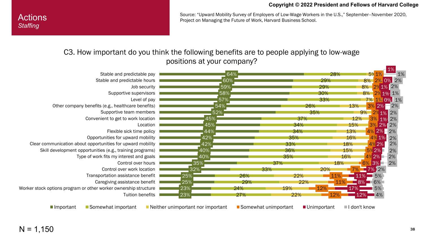Source: "Upward Mobility Survey of Employers of Low-Wage Workers in the U.S.," September–November 2020, Project on Managing the Future of Work, Harvard Business School.

# C3. How important do you think the following benefits are to people applying to low-wage positions at your company?

| .5% | 8% 2% 0% 2%    | 1%                                                                                                                                                                                                                        |
|-----|----------------|---------------------------------------------------------------------------------------------------------------------------------------------------------------------------------------------------------------------------|
|     |                |                                                                                                                                                                                                                           |
|     |                |                                                                                                                                                                                                                           |
|     | $8\%$ 2% 1% 2% |                                                                                                                                                                                                                           |
|     | 8% 2% 1% 1%    |                                                                                                                                                                                                                           |
|     |                |                                                                                                                                                                                                                           |
| 13% |                |                                                                                                                                                                                                                           |
|     |                |                                                                                                                                                                                                                           |
| 12% |                |                                                                                                                                                                                                                           |
| 15% |                |                                                                                                                                                                                                                           |
| 13% |                |                                                                                                                                                                                                                           |
| 16% |                |                                                                                                                                                                                                                           |
|     |                | 2%                                                                                                                                                                                                                        |
|     |                | 2%                                                                                                                                                                                                                        |
|     |                | 2%                                                                                                                                                                                                                        |
|     |                | 2%                                                                                                                                                                                                                        |
|     |                |                                                                                                                                                                                                                           |
|     |                |                                                                                                                                                                                                                           |
|     |                |                                                                                                                                                                                                                           |
|     |                |                                                                                                                                                                                                                           |
|     |                |                                                                                                                                                                                                                           |
|     | 8%             | <b>7% 1% 0% 1%</b><br>$3\%$ 2% $-$ 2%<br>$9\%$ 2 <sup>%</sup> 1% 2%<br>$3\%$ 1% 2%<br>3% 2% 2%<br>$4\%$ 2% $-$ 2%<br>$4\% 1\%$ 2%<br>4% 2%<br>$5\%2\%$<br>4% 2%<br>6% 3%<br>7% - 7% 2%<br>$11\% - 5\%$<br>6%<br>5%<br>14% |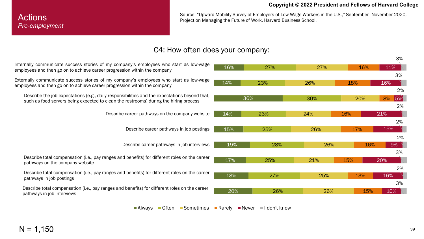Source: "Upward Mobility Survey of Employers of Low-Wage Workers in the U.S.," September–November 2020, Project on Managing the Future of Work, Harvard Business School.

# C4: How often does your company:



Internally communicate success stories of my company's employees who start as low-wage employees and then go on to achieve career progression within the company

Externally communicate success stories of my company's employees who start as low-wage employees and then go on to achieve career progression within the company

Describe the job expectations (e.g., daily responsibilities and the expectations beyond that, such as food servers being expected to clean the restrooms) during the hiring process

Describe career pathways on the company website

Describe career pathways in job postings

Describe career pathways in job interviews

Describe total compensation (i.e., pay ranges and benefits) for different roles on the career pathways on the company website

Describe total compensation (i.e., pay ranges and benefits) for different roles on the career pathways in job postings

Describe total compensation (i.e., pay ranges and benefits) for different roles on the career pathways in job interviews

■Always ■Often ■Sometimes ■Rarely ■Never ■I don't know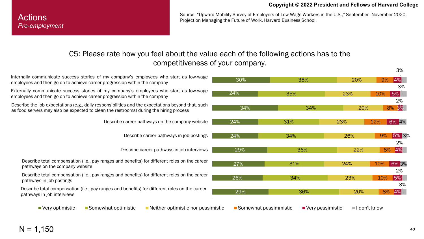Source: "Upward Mobility Survey of Employers of Low-Wage Workers in the U.S.," September–November 2020, Project on Managing the Future of Work, Harvard Business School.

# C5: Please rate how you feel about the value each of the following actions has to the competitiveness of your company.

24% 24% 24% Internally communicate success stories of my company's employees who start as low-wage employees and then go on to achieve career progression within the company Externally communicate success stories of my company's employees who start as low-wage employees and then go on to achieve career progression within the company Describe the job expectations (e.g., daily responsibilities and the expectations beyond that, such as food servers may also be expected to clean the restrooms) during the hiring process Describe career pathways on the company website Describe career pathways in job postings Describe career pathways in job interviews Describe total compensation (i.e., pay ranges and benefits) for different roles on the career pathways on the company website Describe total compensation (i.e., pay ranges and benefits) for different roles on the career pathways in job postings Describe total compensation (i.e., pay ranges and benefits) for different roles on the career pathways in job interviews

30% 34% 29% 27% 26% 29% 35% 35% 34% 31% 34% 36% 31% 34% 36% 20% 23% 20% 23% 26% 22% 24% 23% 20%  $Q\%$ 10% 8% 3% 12%  $Q\%$ 8% 10% 10% 8% 4% 5% 6% 4% 5% 3% 4% 6% 3% 5% 4% 3% 2% 2% 2% 3% ■ Very optimistic ■ Somewhat optimistic ■ Neither optimistic nor pessimistic ■ Somewhat pessimmistic ■ Very pessimistic ■ I don't know

3%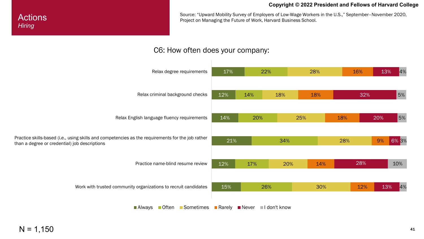Source: "Upward Mobility Survey of Employers of Low-Wage Workers in the U.S.," September–November 2020, Project on Managing the Future of Work, Harvard Business School.

# C6: How often does your company:



■ Always ■ Often ■ Sometimes ■ Rarely ■ Never ■ I don't know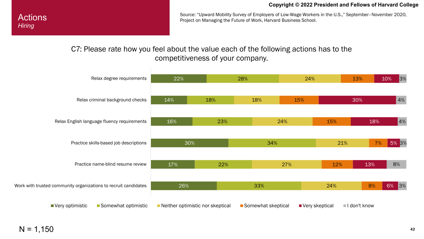Source: "Upward Mobility Survey of Employers of Low-Wage Workers in the U.S.," September–November 2020, Project on Managing the Future of Work, Harvard Business School.

# C7: Please rate how you feel about the value each of the following actions has to the competitiveness of your company.



 $N = 1,150$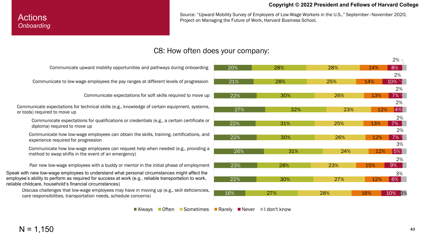Source: "Upward Mobility Survey of Employers of Low-Wage Workers in the U.S.," September–November 2020, Project on Managing the Future of Work, Harvard Business School.

### C8: How often does your company:

20% 21% 22% 27% 22% 22% 26% Communicate upward mobility opportunities and pathways during onboarding Communicate to low-wage employees the pay ranges at different levels of progression Communicate expectations for soft skills required to move up Communicate expectations for technical skills (e.g., knowledge of certain equipment, systems, or tools) required to move up Communicate expectations for qualifications or credentials (e.g., a certain certificate or diploma) required to move up Communicate how low-wage employees can obtain the skills, training, certifications, and experience required for progression Communicate how low-wage employees can request help when needed (e.g., providing a method to swap shifts in the event of an emergency) Pair new low-wage employees with a buddy or mentor in the initial phase of employment

Speak with new low-wage employees to understand what personal circumstances might affect the

Speak with new low-wage employees to understand what personal circumstances might affect employee's ability to perform as required for success at work (e.g., reliable transportation to work, the employee's ability to perform as required for success at work (e.g., reliable transportation… reliable childcare, household's financial circumstances)

Discuss challenges that low-wage employees may have in moving up (e.g., skill deficiencies, care responsibilities, transportation needs, schedule concerns)

|     |     |     |     | $2% -$    |
|-----|-----|-----|-----|-----------|
| 20% | 28% | 28% | 14% | 8%        |
|     |     |     |     | 2%        |
| 21% | 28% | 25% | 14% | $10\%$    |
|     |     |     |     | 2%        |
| 22% | 30% | 26% | 13% | $7\%$     |
|     |     |     |     | 2%        |
| 27% | 32% | 23% | 12% | 4%        |
|     |     |     |     | 2%        |
| 22% | 31% | 25% | 13% | 7%        |
|     |     |     |     | 2%        |
| 22% | 30% | 26% | 12% | $7\%$     |
|     |     |     |     | 3%        |
| 26% | 31% | 24% | 12% | $5\%$     |
|     |     |     |     | 2%        |
| 23% | 28% | 23% | 15% | 9%        |
|     |     |     |     | 3%        |
| 22% | 30% | 27% | 12% | 6%        |
|     |     |     |     |           |
| 16% | 27% | 28% | 16% | 3%<br>10% |

■Always ■ Often ■ Sometimes ■ Rarely ■ Never ■ I don't know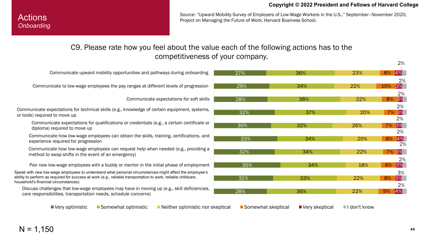23%

8%

10%

8% 3%

4%

2%

3%

2%

2%

2%

7% 3%

3%

2%

4%

2%

2%

3%

2%

7%

8%

7%

8%

9%

8% 3%

3%

3%

2%

4%

22%

22%

26%

20%

20%

22%

18%

22%

22%

Source: "Upward Mobility Survey of Employers of Low-Wage Workers in the U.S.," September–November 2020, Project on Managing the Future of Work, Harvard Business School.

# C9. Please rate how you feel about the value each of the following actions has to the competitiveness of your company.

| Communicate upward mobility opportunities and pathways during onboarding                 | 27% | 36% |
|------------------------------------------------------------------------------------------|-----|-----|
|                                                                                          |     |     |
| icate to low-wage employees the pay ranges at different levels of progression            | 29% | 34% |
|                                                                                          |     |     |
| Communicate expectations for soft skills                                                 | 28% | 38% |
| xpectations for technical skills (e.g., knowledge of certain equipment, systems,         |     |     |
| d to move up                                                                             | 32% | 37% |
| icate expectations for qualifications or credentials (e.g., a certain certificate or     |     |     |
| required to move up                                                                      | 30% | 32% |
| cate how low-wage employees can obtain the skills, training, certifications, and         |     |     |
| e required for progression                                                               | 33% | 34% |
| ate how low-wage employees can request help when needed (e.g., providing a               | 32% | 34% |
| swap shifts in the event of an emergency)                                                |     |     |
| ow-wage employees with a buddy or mentor in the initial phase of employment              | 35% | 34% |
| wage employees to understand what personal circumstances might affect the employee's     |     |     |
| required for success at work (e.g., reliable transportation to work, reliable childcare, | 31% | 33% |
| ll circumstances)                                                                        |     |     |
| enges that low-wage employees may have in moving up (e.g., skill deficiencies,           | 28% | 36% |
| bilities, transportation needs, schedule concerns)                                       |     |     |
|                                                                                          |     |     |

Communicate t

Communicate expectat or tools) required to mo

Communicate e diploma) require

Communicate how experience require

Communicate how method to swap shifts

Pair new low-wag

Speak with new low-wage employees to understand what personal circumstances might affect ability to perform as required for success at work (e.g., reliable transportation to work, reliable childcare, household's financial circumstances) at work (e.g., reliable transportation…………………………………………………………………………………………… Speak with new low-wage em

Discuss challenges that care responsibilities,

■ Very optimistic ■ Somewhat optimistic ■ Neither optimistic nor skeptical ■ Somewhat skeptical ■ Very skeptical ■ I don't know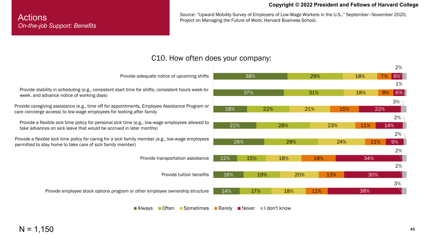Source: "Upward Mobility Survey of Employers of Low-Wage Workers in the U.S.," September–November 2020, Project on Managing the Future of Work, Harvard Business School.

# C10. How often does your company:

| Provide adequate notice of upcoming shifts                                                                                                                              |     | 38% |     | 29% | 18% | $6\%$<br>7%       |
|-------------------------------------------------------------------------------------------------------------------------------------------------------------------------|-----|-----|-----|-----|-----|-------------------|
| Provide stability in scheduling (e.g., consistent start time for shifts, consistent hours week-to-<br>week, and advance notice of working days)                         |     | 37% |     | 31% | 18% | 1%<br>$6\%$<br>8% |
| Provide caregiving assistance (e.g., time off for appointments, Employee Assistance Program or<br>care concierge access) to low-wage employees for looking after family | 18% | 22% | 21% | 15% |     | $3% -$<br>22%     |
| Provide a flexible sick time policy for personal sick time (e.g., low-wage employees allowed to<br>take advances on sick leave that would be accrued in later months)   | 22% | 28% |     | 23% | 11% | $2% -$<br>14%     |
| Provide a flexible sick time policy for caring for a sick family member (e.g., low-wage employees<br>permitted to stay home to take care of sick family member)         | 26% |     | 28% | 24% | 11% | $2% -$<br>9%      |
| Provide transportation assistance                                                                                                                                       | 12% | 15% | 18% | 18% | 34% | 2%                |
| Provide tuition benefits                                                                                                                                                | 16% | 19% | 20% | 13% | 30% | 2%                |
| Provide employee stock options program or other employee ownership structure                                                                                            | 14% | 17% | 18% | 11% | 38% | 3%                |
|                                                                                                                                                                         |     |     |     |     |     |                   |

■ Always ■ Often ■ Sometimes ■ Rarely ■ Never ■ I don't know

2%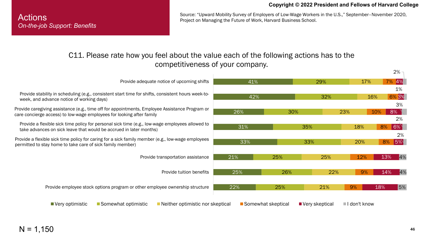Source: "Upward Mobility Survey of Employers of Low-Wage Workers in the U.S.," September–November 2020, Project on Managing the Future of Work, Harvard Business School.

# C11. Please rate how you feel about the value each of the following actions has to the competitiveness of your company.

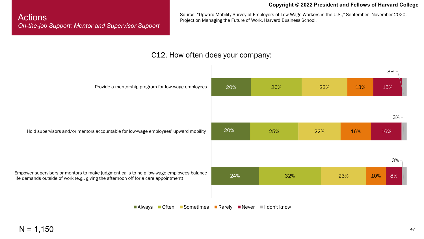Source: "Upward Mobility Survey of Employers of Low-Wage Workers in the U.S.," September–November 2020, Project on Managing the Future of Work, Harvard Business School.

# C12. How often does your company:



■ Always ■ Often ■ Sometimes ■ Rarely ■ Never ■ I don't know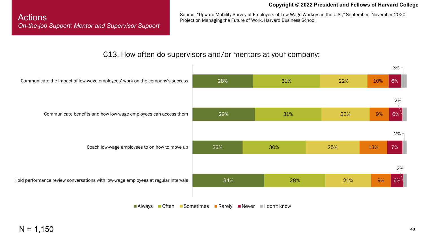Source: "Upward Mobility Survey of Employers of Low-Wage Workers in the U.S.," September–November 2020, Project on Managing the Future of Work, Harvard Business School.

# C13. How often do supervisors and/or mentors at your company:

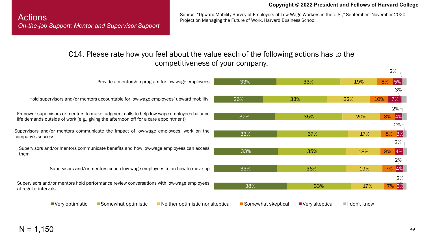Source: "Upward Mobility Survey of Employers of Low-Wage Workers in the U.S.," September–November 2020, Project on Managing the Future of Work, Harvard Business School.

# C14. Please rate how you feel about the value each of the following actions has to the competitiveness of your company.

33% 26% 32% 33% 33% 33% 38% 33% 33% 35% 37% 35% 36% 33% 19% 22% 20% 17% 18% 19% 17% 8% 10% 8% 8% 8% 7% 7% 5% 7% 4% 3% 4% 4% 3% 2% 3% 2% 2% 2% 2% 2%

Provide a mentorship program for low-wage employees

Hold supervisors and/or mentors accountable for low-wage employees' upward mobility

Empower supervisors or mentors to make judgment calls to help low-wage employees balance life demands outside of work (e.g., giving the afternoon off for a care appointment)

Supervisors and/or mentors communicate the impact of low-wage employees' work on the company's success

Supervisors and/or mentors communicate benefits and how low-wage employees can access them

Supervisors and/or mentors coach low-wage employees to on how to move up

Supervisors and/or mentors hold performance review conversations with low-wage employees at regular intervals

■ Very optimistic Net Somewhat optimistic Neither optimistic nor skeptical Neisomewhat skeptical Nery skeptical I don't know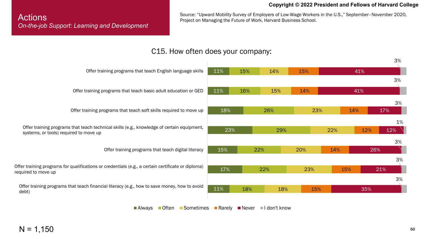Source: "Upward Mobility Survey of Employers of Low-Wage Workers in the U.S.," September–November 2020, Project on Managing the Future of Work, Harvard Business School.

### C15. How often does your company:



■Always ■Often ■Sometimes ■Rarely ■Never ■I don't know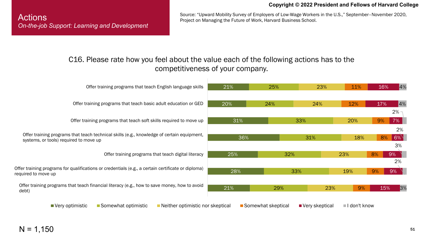Source: "Upward Mobility Survey of Employers of Low-Wage Workers in the U.S.," September–November 2020, Project on Managing the Future of Work, Harvard Business School.

# C16. Please rate how you feel about the value each of the following actions has to the competitiveness of your company.

| Offer training programs that teach English language skills                                                                           | 21% | 25%                | 23%              | 11%          | 16% | 4%             |
|--------------------------------------------------------------------------------------------------------------------------------------|-----|--------------------|------------------|--------------|-----|----------------|
| Offer training programs that teach basic adult education or GED                                                                      | 20% | 24%                | 24%              | 12%          | 17% | 4%             |
| Offer training programs that teach soft skills required to move up                                                                   | 31% |                    | 33%              | 20%          | 9%  | $2% -$<br>7%   |
| Offer training programs that teach technical skills (e.g., knowledge of certain equipment,<br>systems, or tools) required to move up | 36% |                    | 31%              | 18%          | 8%  | 2%<br>$6\%$    |
| Offer training programs that teach digital literacy                                                                                  | 25% | 32%                |                  | 23%          | 8%  | 3%<br>9%<br>2% |
| Offer training programs for qualifications or credentials (e.g., a certain certificate or diploma)<br>required to move up            | 28% |                    | 33%              | 19%          | 9%  | 9%             |
| Offer training programs that teach financial literacy (e.g., how to save money, how to avoid<br>debt)                                | 21% | 29%                | 23%              | 9%           | 15% | 3%             |
| ■ Very optimistic<br>■ Somewhat optimistic<br>Neither optimistic nor skeptical                                                       |     | Somewhat skeptical | ■ Very skeptical | I don't know |     |                |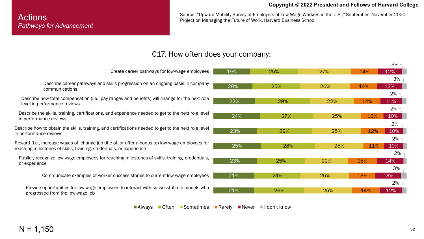communications

Source: "Upward Mobility Survey of Employers of Low-Wage Workers in the U.S.," September–November 2020, Project on Managing the Future of Work, Harvard Business School.

# C17. How often does your company:

Create career pathways for low-wage employees Describe career pathways and skills progression on an ongoing basis in company

Describe how total compensation (i.e., pay ranges and benefits) will change for the next role level in performance reviews

Describe the skills, training, certifications, and experience needed to get to the next role level in performance reviews

Describe how to obtain the skills, training, and certifications needed to get to the next role level in performance reviews

Reward (i.e., increase wages of, change job title of, or offer a bonus to) low-wage employees for reaching milestones of skills, training, credentials, or experience

Publicly recognize low-wage employees for reaching milestones of skills, training. credentials, or experience

Communicate examples of worker success stories to current low-wage employees

Provide opportunities for low-wage employees to interact with successful role models who progressed from the low-wage job

|     |     |     |     | 3%     |
|-----|-----|-----|-----|--------|
| 19% | 25% | 27% | 14% | 12%    |
|     |     |     |     | $3\%$  |
| 20% | 25% | 26% |     | 13%    |
|     |     |     |     | 2%     |
| 22% | 29% | 22% | 14% | 11%    |
|     |     |     |     | 2%     |
| 24% | 27% | 25% | 12% | 10%    |
|     |     |     |     | 2%     |
| 23% | 29% | 25% | 12% | 10%    |
|     |     |     |     | 2%     |
| 25% | 28% | 25% | 11% | 10%    |
|     |     |     |     | $2% -$ |
| 23% | 25% | 22% | 15% | 14%    |
|     |     |     |     | 3%     |
| 21% | 24% | 25% | 13% | 13%    |
|     |     |     |     | 2%     |
| 21% | 26% | 25% | 14% | 12%    |

■Always Often Sometimes Rarely Never I don't know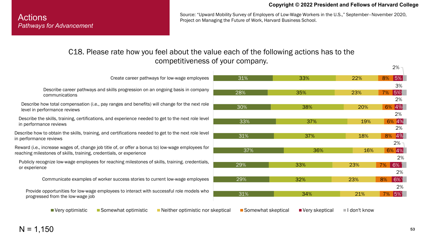Source: "Upward Mobility Survey of Employers of Low-Wage Workers in the U.S.," September–November 2020, Project on Managing the Future of Work, Harvard Business School.

# C18. Please rate how you feel about the value each of the following actions has to the competitiveness of your company.

Create career pathways for low-wage employees

Describe career pathways and skills progression on an ongoing basis in company communications

Describe how total compensation (i.e., pay ranges and benefits) will change for the next role level in performance reviews

Describe the skills, training, certifications, and experience needed to get to the next role level in performance reviews

Describe how to obtain the skills, training, and certifications needed to get to the next role level in performance reviews

Reward (i.e., increase wages of, change job title of, or offer a bonus to) low-wage employees for reaching milestones of skills, training, credentials, or experience

Publicly recognize low-wage employees for reaching milestones of skills, training. credentials, or experience

Communicate examples of worker success stories to current low-wage employees

Provide opportunities for low-wage employees to interact with successful role models who progressed from the low-wage job

| 31% | 33% | 22% | 5%<br>8%    |
|-----|-----|-----|-------------|
|     |     |     | 3%          |
| 28% | 35% | 23% | 5%<br>7%    |
|     |     |     | 2%          |
| 30% | 38% | 20% | 4%<br>6%    |
|     |     |     | 2%          |
| 33% | 37% | 19% | 6% 4%       |
|     |     |     | 2%          |
| 31% | 37% | 18% | 4%<br>8%    |
|     |     |     | $2\%$       |
| 37% | 36% | 16% | 4%<br>6%    |
|     |     |     | 2%          |
| 29% | 33% | 23% | $6\%$<br>7% |
|     |     |     | 2%          |
| 29% | 32% | 23% | $6\%$<br>8% |
|     |     |     | 2%          |
| 31% | 34% | 21% | $5\%$<br>7% |

**Very optimistic** Somewhat optimistic Neither optimistic nor skeptical Somewhat skeptical Very skeptical I don't know

 $N = 1,150$ 

 $2% -$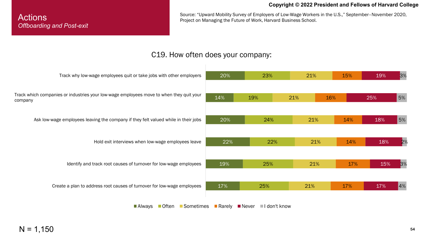Source: "Upward Mobility Survey of Employers of Low-Wage Workers in the U.S.," September–November 2020, Project on Managing the Future of Work, Harvard Business School.

# C19. How often does your company:

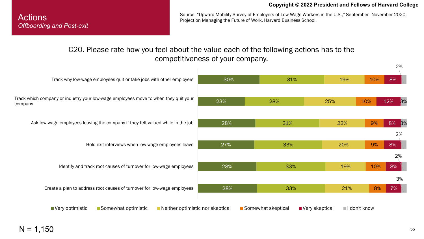Actions *Offboarding and Post-exit* Source: "Upward Mobility Survey of Employers of Low-Wage Workers in the U.S.," September–November 2020, Project on Managing the Future of Work, Harvard Business School.

# C20. Please rate how you feel about the value each of the following actions has to the competitiveness of your company.

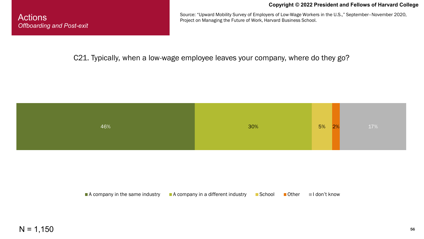Source: "Upward Mobility Survey of Employers of Low-Wage Workers in the U.S.," September–November 2020, Project on Managing the Future of Work, Harvard Business School.

C21. Typically, when a low-wage employee leaves your company, where do they go?



A company in the same industry  $\blacksquare$  A company in a different industry  $\blacksquare$  School  $\blacksquare$  Other  $\blacksquare$  I don't know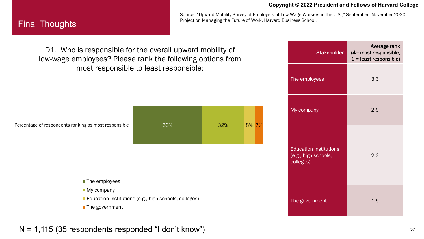Final Thoughts

Source: "Upward Mobility Survey of Employers of Low-Wage Workers in the U.S.," September–November 2020, Project on Managing the Future of Work, Harvard Business School.

D1. Who is responsible for the overall upward mobility of low-wage employees? Please rank the following options from most responsible to least responsible:



 $N = 1,115$  (35 respondents responded "I don't know")

■ The employees

■ The government

**My company** 

| <b>Stakeholder</b>                                                 | Average rank<br>(4= most responsible,<br>$1 =$ least responsible) |
|--------------------------------------------------------------------|-------------------------------------------------------------------|
| The employees                                                      | 3.3                                                               |
| My company                                                         | 2.9                                                               |
| <b>Education institutions</b><br>(e.g., high schools,<br>colleges) | 2.3                                                               |
| The government                                                     | 1.5                                                               |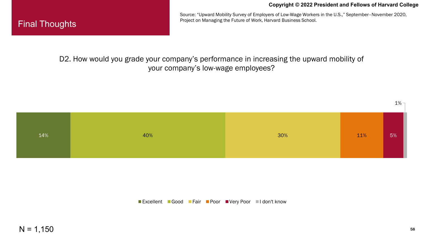

Source: "Upward Mobility Survey of Employers of Low-Wage Workers in the U.S.," September–November 2020, Project on Managing the Future of Work, Harvard Business School.

D2. How would you grade your company's performance in increasing the upward mobility of your company's low-wage employees?



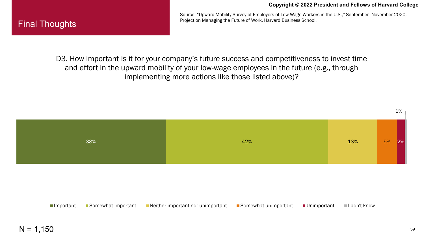

Source: "Upward Mobility Survey of Employers of Low-Wage Workers in the U.S.," September–November 2020, Project on Managing the Future of Work, Harvard Business School.

D3. How important is it for your company's future success and competitiveness to invest time and effort in the upward mobility of your low-wage employees in the future (e.g., through implementing more actions like those listed above)?

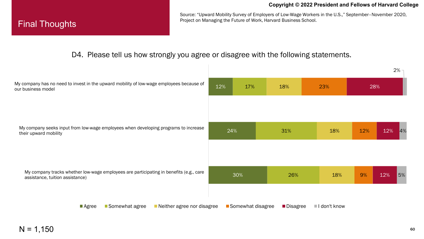# Final Thoughts

Source: "Upward Mobility Survey of Employers of Low-Wage Workers in the U.S.," September–November 2020, Project on Managing the Future of Work, Harvard Business School.

### D4. Please tell us how strongly you agree or disagree with the following statements.

|                                                                                                                                                                                                                                           |            |                   |                 |              | 2%  |     |    |
|-------------------------------------------------------------------------------------------------------------------------------------------------------------------------------------------------------------------------------------------|------------|-------------------|-----------------|--------------|-----|-----|----|
| My company has no need to invest in the upward mobility of low-wage employees because of<br>our business model                                                                                                                            | 12%<br>17% |                   | 18%<br>23%      |              | 28% |     |    |
|                                                                                                                                                                                                                                           |            |                   |                 |              |     |     |    |
| My company seeks input from low-wage employees when developing programs to increase<br>their upward mobility<br>My company tracks whether low-wage employees are participating in benefits (e.g., care<br>assistance, tuition assistance) |            | 24%               | 31%             | 18%          | 12% | 12% | 4% |
|                                                                                                                                                                                                                                           |            |                   |                 |              |     |     |    |
|                                                                                                                                                                                                                                           |            | 30%               | 26%             | 18%          | 9%  | 12% | 5% |
| Neither agree nor disagree<br>Somewhat agree<br>$\blacksquare$ Agree                                                                                                                                                                      |            | Somewhat disagree | <b>Disagree</b> | I don't know |     |     |    |
|                                                                                                                                                                                                                                           |            |                   |                 |              |     |     |    |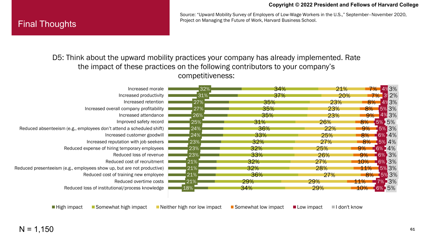

Source: "Upward Mobility Survey of Employers of Low-Wage Workers in the U.S.," September–November 2020, Project on Managing the Future of Work, Harvard Business School.

D5: Think about the upward mobility practices your company has already implemented. Rate the impact of these practices on the following contributors to your company's competitiveness:

| Increased morale                                                       | 32% | 34% | 21% | $7\%$ 4% 3%        |  |
|------------------------------------------------------------------------|-----|-----|-----|--------------------|--|
| Increased productivity                                                 | 31% | 37% | 20% | $7\%$ 3.2%         |  |
| Increased retention                                                    | 27% | 35% | 23% | 4% 3%<br>8%        |  |
| Increased overall company profitability                                | 27% | 35% | 23% | 5% 3%<br>8%        |  |
| Increased attendance                                                   | 26% | 35% | 23% | 9% 4% 3%           |  |
| Improved safety record                                                 | 25% | 31% | 26% | 8% 5% 5%           |  |
| Reduced absenteeism (e.g., employees don't attend a scheduled shift)   | 24% | 36% | 22% | 9%<br><b>5% 3%</b> |  |
| Increased customer goodwill                                            | 24% | 33% | 25% | 6% 4%<br>8%        |  |
| Increased reputation with job seekers                                  | 23% | 32% | 27% | $15%$ 4%<br>8%     |  |
| Reduced expense of hiring temporary employees                          | 23% | 32% | 25% | 6% 4%<br>9%        |  |
| Reduced loss of revenue                                                | 23% | 33% | 26% | 6% 3%<br>9%        |  |
| Reduced cost of recruitment                                            | 21% | 32% | 27% | 10%<br>6% 3%       |  |
| Reduced presenteeism (e.g., employees show up, but are not productive) | 21% | 32% | 28% | 5% 3%<br>11%       |  |
| Reduced cost of training new employee                                  | 21% | 36% | 27% | 8% 5% 3%           |  |
| Reduced overtime costs                                                 | 21% | 29% | 29% | 7% 3%<br>11%       |  |
| Reduced loss of institutional/process knowledge                        | 18% | 34% | 29% | 6% 5%<br>10%       |  |
|                                                                        |     |     |     |                    |  |

■ High impact ■ Somewhat high impact ■ Neither high nor low impact ■ Somewhat low impact ■ Low impact ■ I don't know

 $N = 1,150$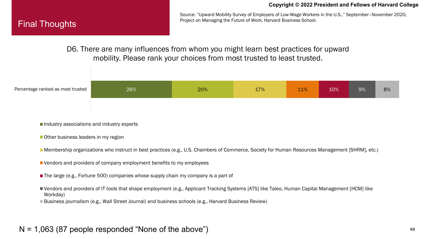# Final Thoughts

Source: "Upward Mobility Survey of Employers of Low-Wage Workers in the U.S.," September–November 2020, Project on Managing the Future of Work, Harvard Business School.

# D6. There are many influences from whom you might learn best practices for upward mobility. Please rank your choices from most trusted to least trusted.



- Other business leaders in my region
- Membership organizations who instruct in best practices (e.g., U.S. Chambers of Commerce, Society for Human Resources Management [SHRM], etc.)
- Vendors and providers of company employment benefits to my employees
- The large (e.g., Fortune 500) companies whose supply chain my company is a part of
- Vendors and providers of IT tools that shape employment (e.g., Applicant Tracking Systems [ATS] like Taleo, Human Capital Management [HCM] like Workday)
- Business journalism (e.g., Wall Street Journal) and business schools (e.g., Harvard Business Review)

### $N = 1,063$  (87 people responded "None of the above")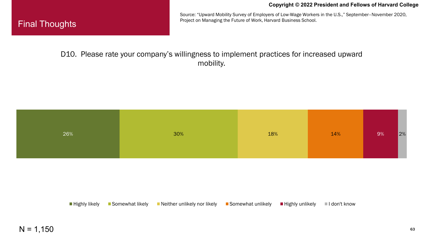

Source: "Upward Mobility Survey of Employers of Low-Wage Workers in the U.S.," September–November 2020, Project on Managing the Future of Work, Harvard Business School.

D10. Please rate your company's willingness to implement practices for increased upward mobility.